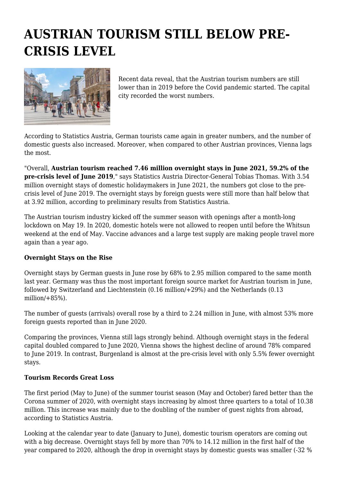## **AUSTRIAN TOURISM STILL BELOW PRE-CRISIS LEVEL**



Recent data reveal, that the Austrian tourism numbers are still lower than in 2019 before the Covid pandemic started. The capital city recorded the worst numbers.

According to Statistics Austria, German tourists came again in greater numbers, and the number of domestic guests also increased. Moreover, when compared to other Austrian provinces, Vienna lags the most.

"Overall, **Austrian tourism reached 7.46 million overnight stays in June 2021, 59.2% of the pre-crisis level of June 2019**," says Statistics Austria Director-General Tobias Thomas. With 3.54 million overnight stays of domestic holidaymakers in June 2021, the numbers got close to the precrisis level of June 2019. The overnight stays by foreign guests were still more than half below that at 3.92 million, according to preliminary results from Statistics Austria.

The Austrian tourism industry kicked off the summer season with openings after a month-long lockdown on May 19. In 2020, domestic hotels were not allowed to reopen until before the Whitsun weekend at the end of May. Vaccine advances and a large test supply are making people travel more again than a year ago.

## **Overnight Stays on the Rise**

Overnight stays by German guests in June rose by 68% to 2.95 million compared to the same month last year. Germany was thus the most important foreign source market for Austrian tourism in June, followed by Switzerland and Liechtenstein (0.16 million/+29%) and the Netherlands (0.13 million $/ + 85%$ ).

The number of guests (arrivals) overall rose by a third to 2.24 million in June, with almost 53% more foreign guests reported than in June 2020.

Comparing the provinces, Vienna still lags strongly behind. Although overnight stays in the federal capital doubled compared to June 2020, Vienna shows the highest decline of around 78% compared to June 2019. In contrast, Burgenland is almost at the pre-crisis level with only 5.5% fewer overnight stays.

## **Tourism Records Great Loss**

The first period (May to June) of the summer tourist season (May and October) fared better than the Corona summer of 2020, with overnight stays increasing by almost three quarters to a total of 10.38 million. This increase was mainly due to the doubling of the number of guest nights from abroad, according to Statistics Austria.

Looking at the calendar year to date (January to June), domestic tourism operators are coming out with a big decrease. Overnight stays fell by more than 70% to 14.12 million in the first half of the year compared to 2020, although the drop in overnight stays by domestic guests was smaller (-32 %